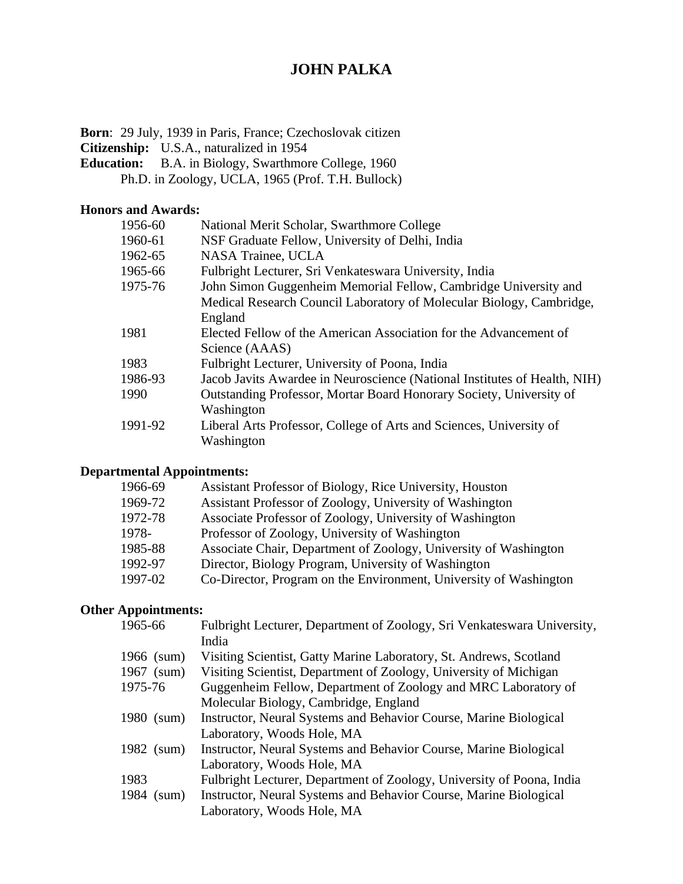# **JOHN PALKA**

**Born**: 29 July, 1939 in Paris, France; Czechoslovak citizen

**Citizenship:** U.S.A., naturalized in 1954

- **Education:** B.A. in Biology, Swarthmore College, 1960
	- Ph.D. in Zoology, UCLA, 1965 (Prof. T.H. Bullock)

#### **Honors and Awards:**

| 1956-60 | National Merit Scholar, Swarthmore College                                |
|---------|---------------------------------------------------------------------------|
| 1960-61 | NSF Graduate Fellow, University of Delhi, India                           |
| 1962-65 | NASA Trainee, UCLA                                                        |
| 1965-66 | Fulbright Lecturer, Sri Venkateswara University, India                    |
| 1975-76 | John Simon Guggenheim Memorial Fellow, Cambridge University and           |
|         | Medical Research Council Laboratory of Molecular Biology, Cambridge,      |
|         | England                                                                   |
| 1981    | Elected Fellow of the American Association for the Advancement of         |
|         | Science (AAAS)                                                            |
| 1983    | Fulbright Lecturer, University of Poona, India                            |
| 1986-93 | Jacob Javits Awardee in Neuroscience (National Institutes of Health, NIH) |
| 1990    | Outstanding Professor, Mortar Board Honorary Society, University of       |
|         | Washington                                                                |
| 1991-92 | Liberal Arts Professor, College of Arts and Sciences, University of       |
|         | Washington                                                                |

### **Departmental Appointments:**

| 1966-69 | Assistant Professor of Biology, Rice University, Houston          |
|---------|-------------------------------------------------------------------|
| 1969-72 | Assistant Professor of Zoology, University of Washington          |
| 1972-78 | Associate Professor of Zoology, University of Washington          |
| 1978-   | Professor of Zoology, University of Washington                    |
| 1985-88 | Associate Chair, Department of Zoology, University of Washington  |
| 1992-97 | Director, Biology Program, University of Washington               |
| 1997-02 | Co-Director, Program on the Environment, University of Washington |
|         |                                                                   |

## **Other Appointments:**

| 1965-66       | Fulbright Lecturer, Department of Zoology, Sri Venkateswara University, |
|---------------|-------------------------------------------------------------------------|
|               | India                                                                   |
| 1966 (sum)    | Visiting Scientist, Gatty Marine Laboratory, St. Andrews, Scotland      |
| 1967 (sum)    | Visiting Scientist, Department of Zoology, University of Michigan       |
| 1975-76       | Guggenheim Fellow, Department of Zoology and MRC Laboratory of          |
|               | Molecular Biology, Cambridge, England                                   |
| 1980 (sum)    | Instructor, Neural Systems and Behavior Course, Marine Biological       |
|               | Laboratory, Woods Hole, MA                                              |
| 1982 (sum)    | Instructor, Neural Systems and Behavior Course, Marine Biological       |
|               | Laboratory, Woods Hole, MA                                              |
| 1983          | Fulbright Lecturer, Department of Zoology, University of Poona, India   |
| 1984<br>(sum) | Instructor, Neural Systems and Behavior Course, Marine Biological       |
|               | Laboratory, Woods Hole, MA                                              |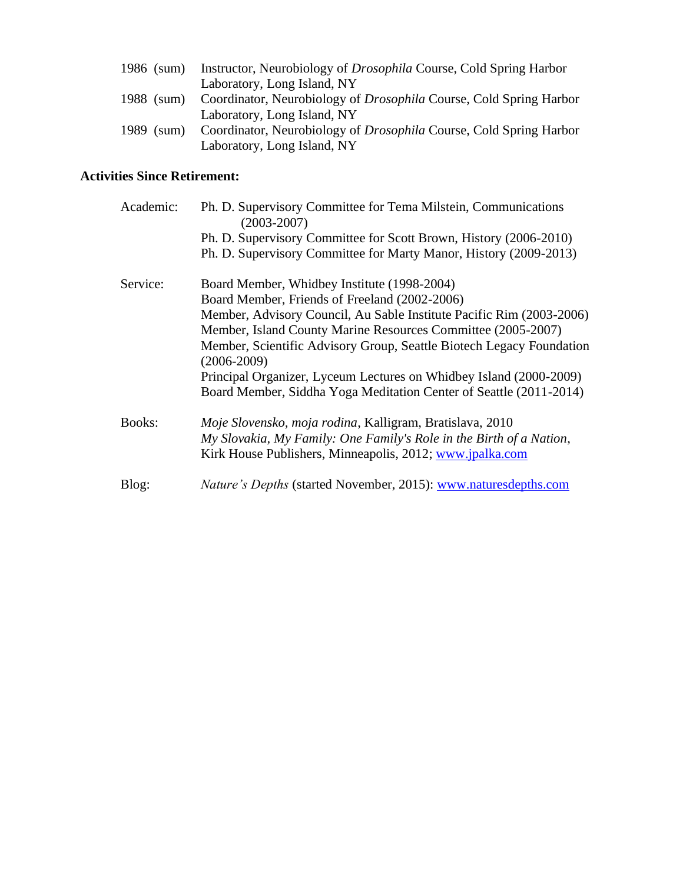| 1986 (sum) | Instructor, Neurobiology of <i>Drosophila</i> Course, Cold Spring Harbor  |
|------------|---------------------------------------------------------------------------|
|            | Laboratory, Long Island, NY                                               |
| 1988 (sum) | Coordinator, Neurobiology of <i>Drosophila</i> Course, Cold Spring Harbor |
|            | Laboratory, Long Island, NY                                               |
| 1989 (sum) | Coordinator, Neurobiology of <i>Drosophila</i> Course, Cold Spring Harbor |
|            | Laboratory, Long Island, NY                                               |

### **Activities Since Retirement:**

| Academic:     | Ph. D. Supervisory Committee for Tema Milstein, Communications<br>$(2003 - 2007)$       |
|---------------|-----------------------------------------------------------------------------------------|
|               | Ph. D. Supervisory Committee for Scott Brown, History (2006-2010)                       |
|               | Ph. D. Supervisory Committee for Marty Manor, History (2009-2013)                       |
| Service:      | Board Member, Whidbey Institute (1998-2004)                                             |
|               | Board Member, Friends of Freeland (2002-2006)                                           |
|               | Member, Advisory Council, Au Sable Institute Pacific Rim (2003-2006)                    |
|               | Member, Island County Marine Resources Committee (2005-2007)                            |
|               | Member, Scientific Advisory Group, Seattle Biotech Legacy Foundation<br>$(2006 - 2009)$ |
|               | Principal Organizer, Lyceum Lectures on Whidbey Island (2000-2009)                      |
|               | Board Member, Siddha Yoga Meditation Center of Seattle (2011-2014)                      |
| <b>Books:</b> | Moje Slovensko, moja rodina, Kalligram, Bratislava, 2010                                |
|               | My Slovakia, My Family: One Family's Role in the Birth of a Nation,                     |
|               | Kirk House Publishers, Minneapolis, 2012; www.jpalka.com                                |
| Blog:         | <i>Nature's Depths</i> (started November, 2015): www.naturesdepths.com                  |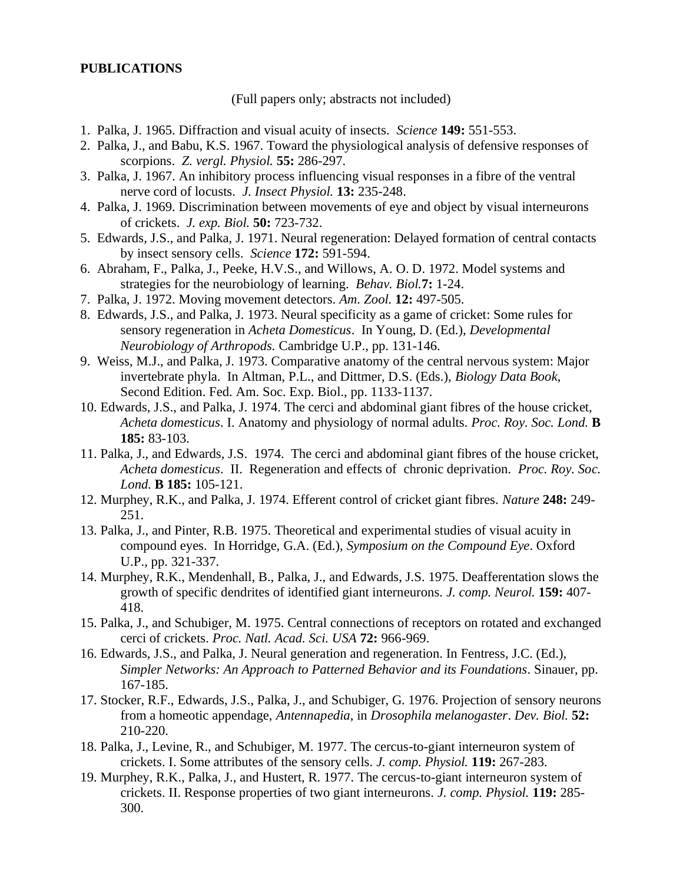#### **PUBLICATIONS**

(Full papers only; abstracts not included)

- 1. Palka, J. 1965. Diffraction and visual acuity of insects. *Science* **149:** 551-553.
- 2. Palka, J., and Babu, K.S. 1967. Toward the physiological analysis of defensive responses of scorpions. *Z. vergl. Physiol.* **55:** 286-297.
- 3. Palka, J. 1967. An inhibitory process influencing visual responses in a fibre of the ventral nerve cord of locusts. *J. Insect Physiol.* **13:** 235-248.
- 4. Palka, J. 1969. Discrimination between movements of eye and object by visual interneurons of crickets. *J. exp. Biol.* **50:** 723-732.
- 5. Edwards, J.S., and Palka, J. 1971. Neural regeneration: Delayed formation of central contacts by insect sensory cells. *Science* **172:** 591-594.
- 6. Abraham, F., Palka, J., Peeke, H.V.S., and Willows, A. O. D. 1972. Model systems and strategies for the neurobiology of learning. *Behav. Biol.***7:** 1-24.
- 7. Palka, J. 1972. Moving movement detectors. *Am. Zool.* **12:** 497-505.
- 8. Edwards, J.S., and Palka, J. 1973. Neural specificity as a game of cricket: Some rules for sensory regeneration in *Acheta Domesticus*. In Young, D. (Ed.), *Developmental Neurobiology of Arthropods.* Cambridge U.P., pp. 131-146.
- 9. Weiss, M.J., and Palka, J. 1973. Comparative anatomy of the central nervous system: Major invertebrate phyla. In Altman, P.L., and Dittmer, D.S. (Eds.), *Biology Data Book*, Second Edition. Fed. Am. Soc. Exp. Biol., pp. 1133-1137.
- 10. Edwards, J.S., and Palka, J. 1974. The cerci and abdominal giant fibres of the house cricket, *Acheta domesticus*. I. Anatomy and physiology of normal adults. *Proc. Roy. Soc. Lond.* **B 185:** 83-103.
- 11. Palka, J., and Edwards, J.S. 1974. The cerci and abdominal giant fibres of the house cricket, *Acheta domesticus*. II. Regeneration and effects of chronic deprivation. *Proc. Roy. Soc. Lond.* **B 185:** 105-121.
- 12. Murphey, R.K., and Palka, J. 1974. Efferent control of cricket giant fibres. *Nature* **248:** 249- 251.
- 13. Palka, J., and Pinter, R.B. 1975. Theoretical and experimental studies of visual acuity in compound eyes. In Horridge, G.A. (Ed.), *Symposium on the Compound Eye*. Oxford U.P., pp. 321-337.
- 14. Murphey, R.K., Mendenhall, B., Palka, J., and Edwards, J.S. 1975. Deafferentation slows the growth of specific dendrites of identified giant interneurons. *J. comp. Neurol.* **159:** 407- 418.
- 15. Palka, J., and Schubiger, M. 1975. Central connections of receptors on rotated and exchanged cerci of crickets. *Proc. Natl. Acad. Sci. USA* **72:** 966-969.
- 16. Edwards, J.S., and Palka, J. Neural generation and regeneration. In Fentress, J.C. (Ed.), *Simpler Networks: An Approach to Patterned Behavior and its Foundations*. Sinauer, pp. 167-185.
- 17. Stocker, R.F., Edwards, J.S., Palka, J., and Schubiger, G. 1976. Projection of sensory neurons from a homeotic appendage, *Antennapedia*, in *Drosophila melanogaster*. *Dev. Biol.* **52:** 210-220.
- 18. Palka, J., Levine, R., and Schubiger, M. 1977. The cercus-to-giant interneuron system of crickets. I. Some attributes of the sensory cells. *J. comp. Physiol.* **119:** 267-283.
- 19. Murphey, R.K., Palka, J., and Hustert, R. 1977. The cercus-to-giant interneuron system of crickets. II. Response properties of two giant interneurons. *J. comp. Physiol.* **119:** 285- 300.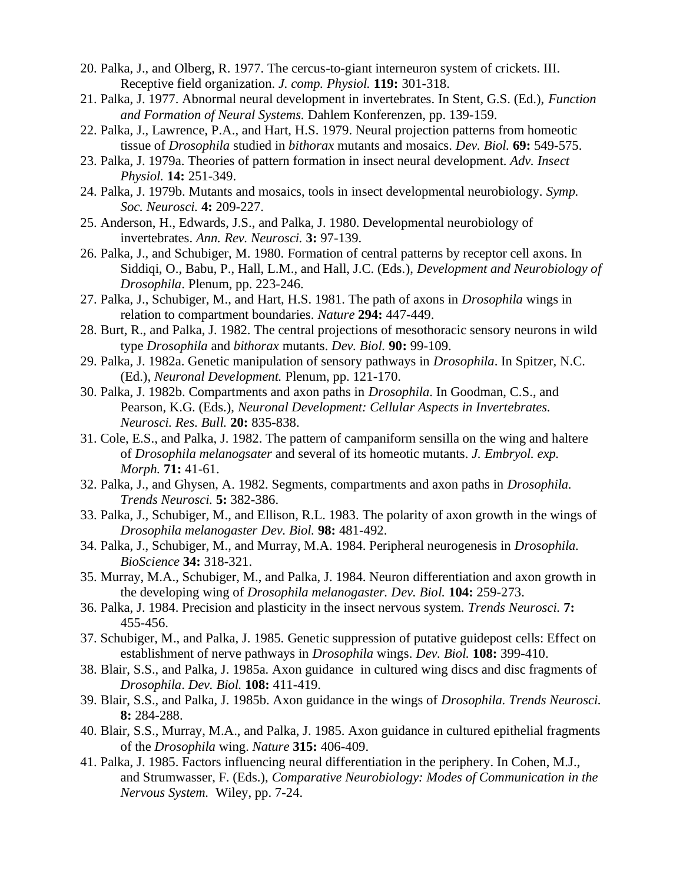- 20. Palka, J., and Olberg, R. 1977. The cercus-to-giant interneuron system of crickets. III. Receptive field organization. *J. comp. Physiol.* **119:** 301-318.
- 21. Palka, J. 1977. Abnormal neural development in invertebrates. In Stent, G.S. (Ed.), *Function and Formation of Neural Systems.* Dahlem Konferenzen, pp. 139-159.
- 22. Palka, J., Lawrence, P.A., and Hart, H.S. 1979. Neural projection patterns from homeotic tissue of *Drosophila* studied in *bithorax* mutants and mosaics. *Dev. Biol.* **69:** 549-575.
- 23. Palka, J. 1979a. Theories of pattern formation in insect neural development. *Adv. Insect Physiol.* **14:** 251-349.
- 24. Palka, J. 1979b. Mutants and mosaics, tools in insect developmental neurobiology. *Symp. Soc. Neurosci.* **4:** 209-227.
- 25. Anderson, H., Edwards, J.S., and Palka, J. 1980. Developmental neurobiology of invertebrates. *Ann. Rev. Neurosci.* **3:** 97-139.
- 26. Palka, J., and Schubiger, M. 1980. Formation of central patterns by receptor cell axons. In Siddiqi, O., Babu, P., Hall, L.M., and Hall, J.C. (Eds.), *Development and Neurobiology of Drosophila*. Plenum, pp. 223-246.
- 27. Palka, J., Schubiger, M., and Hart, H.S. 1981. The path of axons in *Drosophila* wings in relation to compartment boundaries. *Nature* **294:** 447-449.
- 28. Burt, R., and Palka, J. 1982. The central projections of mesothoracic sensory neurons in wild type *Drosophila* and *bithorax* mutants. *Dev. Biol.* **90:** 99-109.
- 29. Palka, J. 1982a. Genetic manipulation of sensory pathways in *Drosophila*. In Spitzer, N.C. (Ed.), *Neuronal Development.* Plenum, pp. 121-170.
- 30. Palka, J. 1982b. Compartments and axon paths in *Drosophila*. In Goodman, C.S., and Pearson, K.G. (Eds.), *Neuronal Development: Cellular Aspects in Invertebrates. Neurosci. Res. Bull.* **20:** 835-838.
- 31. Cole, E.S., and Palka, J. 1982. The pattern of campaniform sensilla on the wing and haltere of *Drosophila melanogsater* and several of its homeotic mutants. *J. Embryol. exp. Morph.* **71:** 41-61.
- 32. Palka, J., and Ghysen, A. 1982. Segments, compartments and axon paths in *Drosophila. Trends Neurosci.* **5:** 382-386.
- 33. Palka, J., Schubiger, M., and Ellison, R.L. 1983. The polarity of axon growth in the wings of *Drosophila melanogaster Dev. Biol.* **98:** 481-492.
- 34. Palka, J., Schubiger, M., and Murray, M.A. 1984. Peripheral neurogenesis in *Drosophila. BioScience* **34:** 318-321.
- 35. Murray, M.A., Schubiger, M., and Palka, J. 1984. Neuron differentiation and axon growth in the developing wing of *Drosophila melanogaster. Dev. Biol.* **104:** 259-273.
- 36. Palka, J. 1984. Precision and plasticity in the insect nervous system. *Trends Neurosci.* **7:**  455-456.
- 37. Schubiger, M., and Palka, J. 1985. Genetic suppression of putative guidepost cells: Effect on establishment of nerve pathways in *Drosophila* wings. *Dev. Biol.* **108:** 399-410.
- 38. Blair, S.S., and Palka, J. 1985a. Axon guidance in cultured wing discs and disc fragments of *Drosophila*. *Dev. Biol.* **108:** 411-419.
- 39. Blair, S.S., and Palka, J. 1985b. Axon guidance in the wings of *Drosophila. Trends Neurosci.* **8:** 284-288.
- 40. Blair, S.S., Murray, M.A., and Palka, J. 1985. Axon guidance in cultured epithelial fragments of the *Drosophila* wing. *Nature* **315:** 406-409.
- 41. Palka, J. 1985. Factors influencing neural differentiation in the periphery. In Cohen, M.J., and Strumwasser, F. (Eds.), *Comparative Neurobiology: Modes of Communication in the Nervous System.* Wiley, pp. 7-24.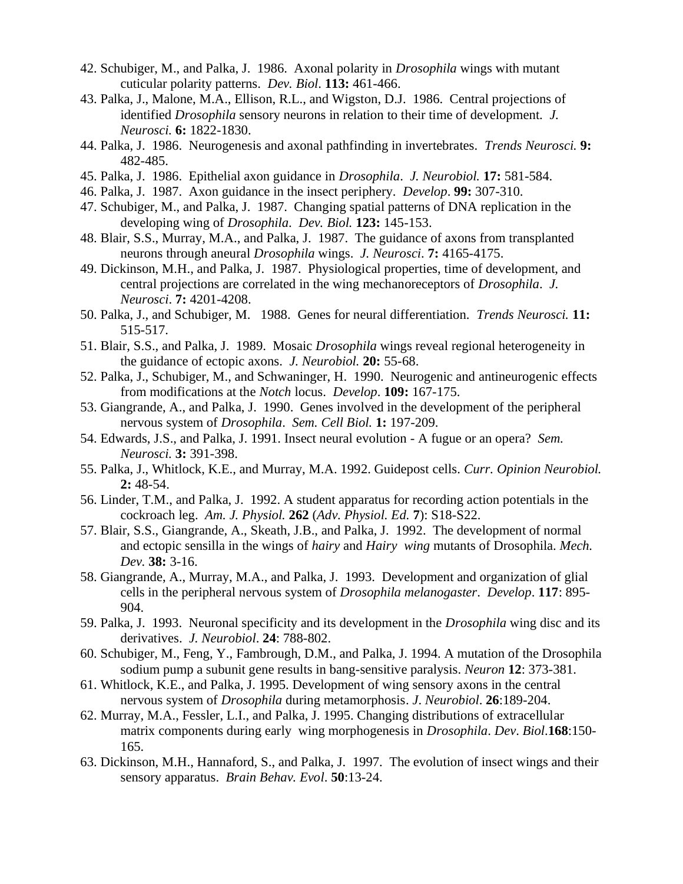- 42. Schubiger, M., and Palka, J. 1986. Axonal polarity in *Drosophila* wings with mutant cuticular polarity patterns. *Dev. Biol*. **113:** 461-466.
- 43. Palka, J., Malone, M.A., Ellison, R.L., and Wigston, D.J. 1986. Central projections of identified *Drosophila* sensory neurons in relation to their time of development. *J. Neurosci.* **6:** 1822-1830.
- 44. Palka, J. 1986. Neurogenesis and axonal pathfinding in invertebrates. *Trends Neurosci.* **9:** 482-485.
- 45. Palka, J. 1986. Epithelial axon guidance in *Drosophila*. *J. Neurobiol.* **17:** 581-584.
- 46. Palka, J. 1987. Axon guidance in the insect periphery. *Develop*. **99:** 307-310.
- 47. Schubiger, M., and Palka, J. 1987. Changing spatial patterns of DNA replication in the developing wing of *Drosophila*. *Dev. Biol.* **123:** 145-153.
- 48. Blair, S.S., Murray, M.A., and Palka, J. 1987. The guidance of axons from transplanted neurons through aneural *Drosophila* wings. *J. Neurosci*. **7:** 4165-4175.
- 49. Dickinson, M.H., and Palka, J. 1987. Physiological properties, time of development, and central projections are correlated in the wing mechanoreceptors of *Drosophila*. *J. Neurosci*. **7:** 4201-4208.
- 50. Palka, J., and Schubiger, M. 1988. Genes for neural differentiation. *Trends Neurosci.* **11:** 515-517.
- 51. Blair, S.S., and Palka, J. 1989. Mosaic *Drosophila* wings reveal regional heterogeneity in the guidance of ectopic axons. *J. Neurobiol.* **20:** 55-68.
- 52. Palka, J., Schubiger, M., and Schwaninger, H. 1990. Neurogenic and antineurogenic effects from modifications at the *Notch* locus. *Develop*. **109:** 167-175.
- 53. Giangrande, A., and Palka, J. 1990. Genes involved in the development of the peripheral nervous system of *Drosophila*. *Sem. Cell Biol.* **1:** 197-209.
- 54. Edwards, J.S., and Palka, J. 1991. Insect neural evolution A fugue or an opera? *Sem. Neurosci.* **3:** 391-398.
- 55. Palka, J., Whitlock, K.E., and Murray, M.A. 1992. Guidepost cells. *Curr. Opinion Neurobiol.* **2:** 48-54.
- 56. Linder, T.M., and Palka, J. 1992. A student apparatus for recording action potentials in the cockroach leg. *Am. J. Physiol.* **262** (*Adv. Physiol. Ed.* **7**): S18-S22.
- 57. Blair, S.S., Giangrande, A., Skeath, J.B., and Palka, J. 1992. The development of normal and ectopic sensilla in the wings of *hairy* and *Hairy wing* mutants of Drosophila. *Mech. Dev.* **38:** 3-16.
- 58. Giangrande, A., Murray, M.A., and Palka, J. 1993. Development and organization of glial cells in the peripheral nervous system of *Drosophila melanogaster*. *Develop*. **117**: 895- 904.
- 59. Palka, J. 1993. Neuronal specificity and its development in the *Drosophila* wing disc and its derivatives. *J. Neurobiol*. **24**: 788-802.
- 60. Schubiger, M., Feng, Y., Fambrough, D.M., and Palka, J. 1994. A mutation of the Drosophila sodium pump a subunit gene results in bang-sensitive paralysis. *Neuron* **12**: 373-381.
- 61. Whitlock, K.E., and Palka, J. 1995. Development of wing sensory axons in the central nervous system of *Drosophila* during metamorphosis. *J*. *Neurobiol*. **26**:189-204.
- 62. Murray, M.A., Fessler, L.I., and Palka, J. 1995. Changing distributions of extracellular matrix components during early wing morphogenesis in *Drosophila*. *Dev*. *Biol*.**168**:150- 165.
- 63. Dickinson, M.H., Hannaford, S., and Palka, J. 1997. The evolution of insect wings and their sensory apparatus. *Brain Behav. Evol*. **50**:13-24.